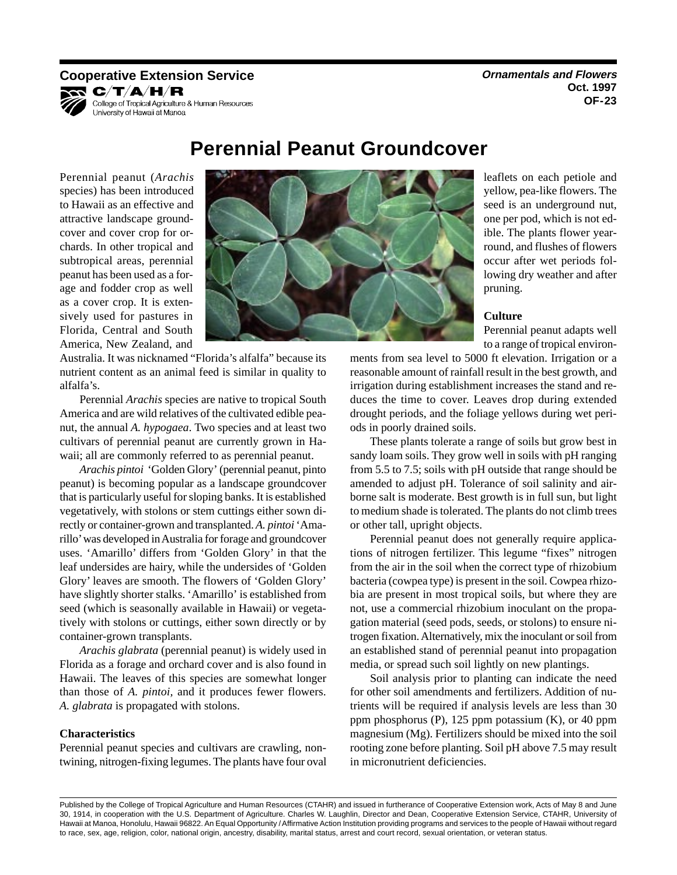## **Cooperative Extension Service Cooperative Extension Service** *Cooperative Extension Service* KR C/T/A/H/R



College of Tropical Agriculture & Human Resources University of Hawaii at Manoa

**Oct. 1997 OF-23** 

Perennial peanut (*Arachis*  species) has been introduced to Hawaii as an effective and attractive landscape groundcover and cover crop for orchards. In other tropical and subtropical areas, perennial peanut has been used as a forage and fodder crop as well as a cover crop. It is extensively used for pastures in Florida, Central and South America, New Zealand, and



Australia. It was nicknamed "Florida's alfalfa" because its nutrient content as an animal feed is similar in quality to alfalfa's.

Perennial *Arachis* species are native to tropical South America and are wild relatives of the cultivated edible peanut, the annual *A. hypogaea*. Two species and at least two cultivars of perennial peanut are currently grown in Hawaii; all are commonly referred to as perennial peanut.

*Arachis pintoi* 'Golden Glory' (perennial peanut, pinto peanut) is becoming popular as a landscape groundcover that is particularly useful for sloping banks. It is established vegetatively, with stolons or stem cuttings either sown directly or container-grown and transplanted. *A. pintoi* 'Amarillo' was developed in Australia for forage and groundcover uses. 'Amarillo' differs from 'Golden Glory' in that the leaf undersides are hairy, while the undersides of 'Golden Glory' leaves are smooth. The flowers of 'Golden Glory' have slightly shorter stalks. 'Amarillo' is established from seed (which is seasonally available in Hawaii) or vegetatively with stolons or cuttings, either sown directly or by container-grown transplants.

*Arachis glabrata* (perennial peanut) is widely used in Florida as a forage and orchard cover and is also found in Hawaii. The leaves of this species are somewhat longer than those of *A. pintoi,* and it produces fewer flowers. *A. glabrata* is propagated with stolons.

## **Characteristics**

Perennial peanut species and cultivars are crawling, nontwining, nitrogen-fixing legumes. The plants have four oval

leaflets on each petiole and yellow, pea-like flowers. The seed is an underground nut, one per pod, which is not edible. The plants flower yearround, and flushes of flowers occur after wet periods following dry weather and after pruning.

## **Culture**

Perennial peanut adapts well to a range of tropical environ-

ments from sea level to 5000 ft elevation. Irrigation or a reasonable amount of rainfall result in the best growth, and irrigation during establishment increases the stand and reduces the time to cover. Leaves drop during extended drought periods, and the foliage yellows during wet periods in poorly drained soils.

These plants tolerate a range of soils but grow best in sandy loam soils. They grow well in soils with pH ranging from 5.5 to 7.5; soils with pH outside that range should be amended to adjust pH. Tolerance of soil salinity and airborne salt is moderate. Best growth is in full sun, but light to medium shade is tolerated. The plants do not climb trees or other tall, upright objects.

Perennial peanut does not generally require applications of nitrogen fertilizer. This legume "fixes" nitrogen from the air in the soil when the correct type of rhizobium bacteria (cowpea type) is present in the soil. Cowpea rhizobia are present in most tropical soils, but where they are not, use a commercial rhizobium inoculant on the propagation material (seed pods, seeds, or stolons) to ensure nitrogen fixation. Alternatively, mix the inoculant or soil from an established stand of perennial peanut into propagation media, or spread such soil lightly on new plantings.

Soil analysis prior to planting can indicate the need for other soil amendments and fertilizers. Addition of nutrients will be required if analysis levels are less than 30 ppm phosphorus (P), 125 ppm potassium (K), or 40 ppm magnesium (Mg). Fertilizers should be mixed into the soil rooting zone before planting. Soil pH above 7.5 may result in micronutrient deficiencies.

# **Perennial Peanut Groundcover**

Published by the College of Tropical Agriculture and Human Resources (CTAHR) and issued in furtherance of Cooperative Extension work, Acts of May 8 and June 30, 1914, in cooperation with the U.S. Department of Agriculture. Charles W. Laughlin, Director and Dean, Cooperative Extension Service, CTAHR, University of Hawaii at Manoa, Honolulu, Hawaii 96822. An Equal Opportunity / Affirmative Action Institution providing programs and services to the people of Hawaii without regard to race, sex, age, religion, color, national origin, ancestry, disability, marital status, arrest and court record, sexual orientation, or veteran status.